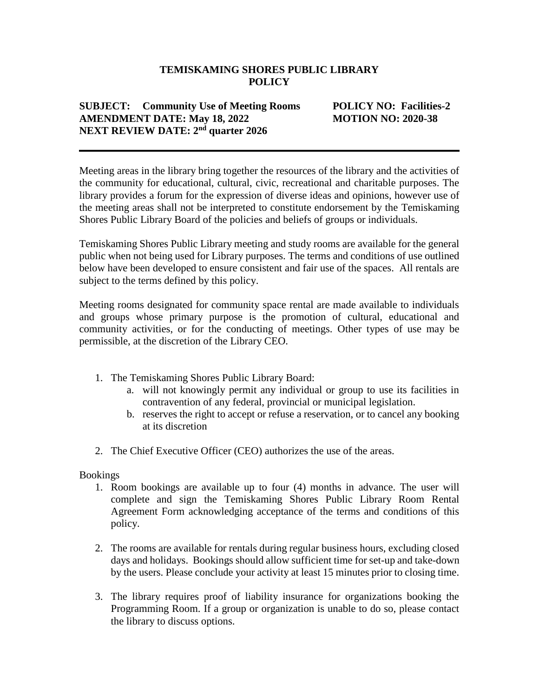### **TEMISKAMING SHORES PUBLIC LIBRARY POLICY**

# **SUBJECT: Community Use of Meeting Rooms POLICY NO: Facilities-2 AMENDMENT DATE: May 18, 2022 MOTION NO: 2020-38 NEXT REVIEW DATE: 2nd quarter 2026**

Meeting areas in the library bring together the resources of the library and the activities of the community for educational, cultural, civic, recreational and charitable purposes. The library provides a forum for the expression of diverse ideas and opinions, however use of the meeting areas shall not be interpreted to constitute endorsement by the Temiskaming Shores Public Library Board of the policies and beliefs of groups or individuals.

Temiskaming Shores Public Library meeting and study rooms are available for the general public when not being used for Library purposes. The terms and conditions of use outlined below have been developed to ensure consistent and fair use of the spaces. All rentals are subject to the terms defined by this policy.

Meeting rooms designated for community space rental are made available to individuals and groups whose primary purpose is the promotion of cultural, educational and community activities, or for the conducting of meetings. Other types of use may be permissible, at the discretion of the Library CEO.

- 1. The Temiskaming Shores Public Library Board:
	- a. will not knowingly permit any individual or group to use its facilities in contravention of any federal, provincial or municipal legislation.
	- b. reserves the right to accept or refuse a reservation, or to cancel any booking at its discretion
- 2. The Chief Executive Officer (CEO) authorizes the use of the areas.

Bookings

- 1. Room bookings are available up to four (4) months in advance. The user will complete and sign the Temiskaming Shores Public Library Room Rental Agreement Form acknowledging acceptance of the terms and conditions of this policy.
- 2. The rooms are available for rentals during regular business hours, excluding closed days and holidays. Bookings should allow sufficient time for set-up and take-down by the users. Please conclude your activity at least 15 minutes prior to closing time.
- 3. The library requires proof of liability insurance for organizations booking the Programming Room. If a group or organization is unable to do so, please contact the library to discuss options.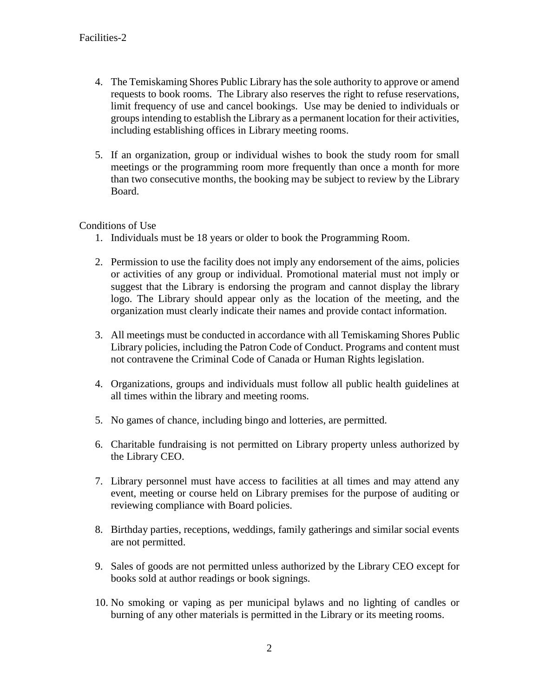- 4. The Temiskaming Shores Public Library has the sole authority to approve or amend requests to book rooms. The Library also reserves the right to refuse reservations, limit frequency of use and cancel bookings. Use may be denied to individuals or groups intending to establish the Library as a permanent location for their activities, including establishing offices in Library meeting rooms.
- 5. If an organization, group or individual wishes to book the study room for small meetings or the programming room more frequently than once a month for more than two consecutive months, the booking may be subject to review by the Library Board.

## Conditions of Use

- 1. Individuals must be 18 years or older to book the Programming Room.
- 2. Permission to use the facility does not imply any endorsement of the aims, policies or activities of any group or individual. Promotional material must not imply or suggest that the Library is endorsing the program and cannot display the library logo. The Library should appear only as the location of the meeting, and the organization must clearly indicate their names and provide contact information.
- 3. All meetings must be conducted in accordance with all Temiskaming Shores Public Library policies, including the Patron Code of Conduct. Programs and content must not contravene the Criminal Code of Canada or Human Rights legislation.
- 4. Organizations, groups and individuals must follow all public health guidelines at all times within the library and meeting rooms.
- 5. No games of chance, including bingo and lotteries, are permitted.
- 6. Charitable fundraising is not permitted on Library property unless authorized by the Library CEO.
- 7. Library personnel must have access to facilities at all times and may attend any event, meeting or course held on Library premises for the purpose of auditing or reviewing compliance with Board policies.
- 8. Birthday parties, receptions, weddings, family gatherings and similar social events are not permitted.
- 9. Sales of goods are not permitted unless authorized by the Library CEO except for books sold at author readings or book signings.
- 10. No smoking or vaping as per municipal bylaws and no lighting of candles or burning of any other materials is permitted in the Library or its meeting rooms.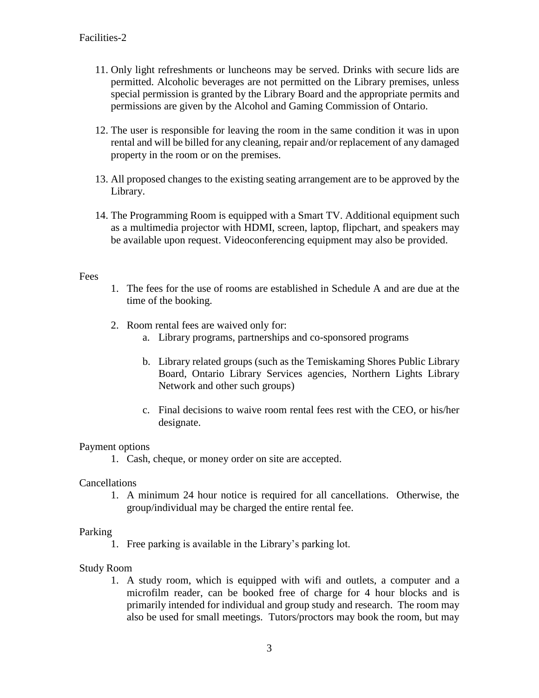- 11. Only light refreshments or luncheons may be served. Drinks with secure lids are permitted. Alcoholic beverages are not permitted on the Library premises, unless special permission is granted by the Library Board and the appropriate permits and permissions are given by the Alcohol and Gaming Commission of Ontario.
- 12. The user is responsible for leaving the room in the same condition it was in upon rental and will be billed for any cleaning, repair and/or replacement of any damaged property in the room or on the premises.
- 13. All proposed changes to the existing seating arrangement are to be approved by the Library.
- 14. The Programming Room is equipped with a Smart TV. Additional equipment such as a multimedia projector with HDMI, screen, laptop, flipchart, and speakers may be available upon request. Videoconferencing equipment may also be provided.

## Fees

- 1. The fees for the use of rooms are established in Schedule A and are due at the time of the booking.
- 2. Room rental fees are waived only for:
	- a. Library programs, partnerships and co-sponsored programs
	- b. Library related groups (such as the Temiskaming Shores Public Library Board, Ontario Library Services agencies, Northern Lights Library Network and other such groups)
	- c. Final decisions to waive room rental fees rest with the CEO, or his/her designate.

#### Payment options

1. Cash, cheque, or money order on site are accepted.

#### Cancellations

1. A minimum 24 hour notice is required for all cancellations. Otherwise, the group/individual may be charged the entire rental fee.

#### Parking

1. Free parking is available in the Library's parking lot.

# Study Room

1. A study room, which is equipped with wifi and outlets, a computer and a microfilm reader, can be booked free of charge for 4 hour blocks and is primarily intended for individual and group study and research. The room may also be used for small meetings. Tutors/proctors may book the room, but may